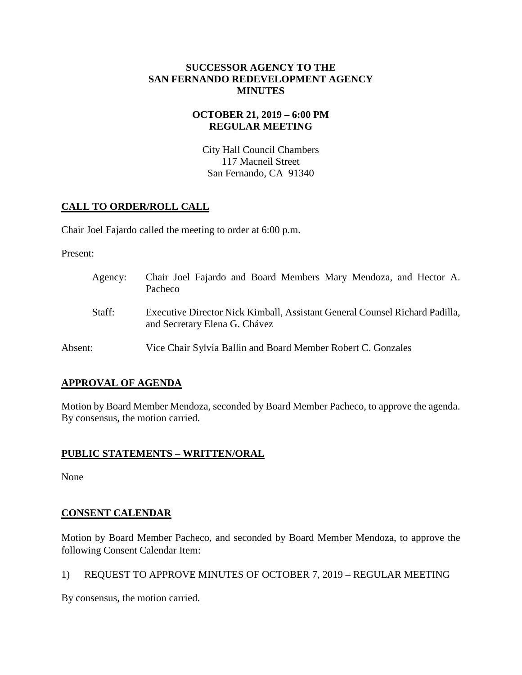## **SUCCESSOR AGENCY TO THE SAN FERNANDO REDEVELOPMENT AGENCY MINUTES**

# **OCTOBER 21, 2019 – 6:00 PM REGULAR MEETING**

City Hall Council Chambers 117 Macneil Street San Fernando, CA 91340

# **CALL TO ORDER/ROLL CALL**

Chair Joel Fajardo called the meeting to order at 6:00 p.m.

Present:

| Agency: | Chair Joel Fajardo and Board Members Mary Mendoza, and Hector A.<br>Pacheco                                  |
|---------|--------------------------------------------------------------------------------------------------------------|
| Staff:  | Executive Director Nick Kimball, Assistant General Counsel Richard Padilla,<br>and Secretary Elena G. Chávez |
| Absent: | Vice Chair Sylvia Ballin and Board Member Robert C. Gonzales                                                 |

# **APPROVAL OF AGENDA**

Motion by Board Member Mendoza, seconded by Board Member Pacheco, to approve the agenda. By consensus, the motion carried.

# **PUBLIC STATEMENTS – WRITTEN/ORAL**

None

# **CONSENT CALENDAR**

Motion by Board Member Pacheco, and seconded by Board Member Mendoza, to approve the following Consent Calendar Item:

1) REQUEST TO APPROVE MINUTES OF OCTOBER 7, 2019 – REGULAR MEETING

By consensus, the motion carried.